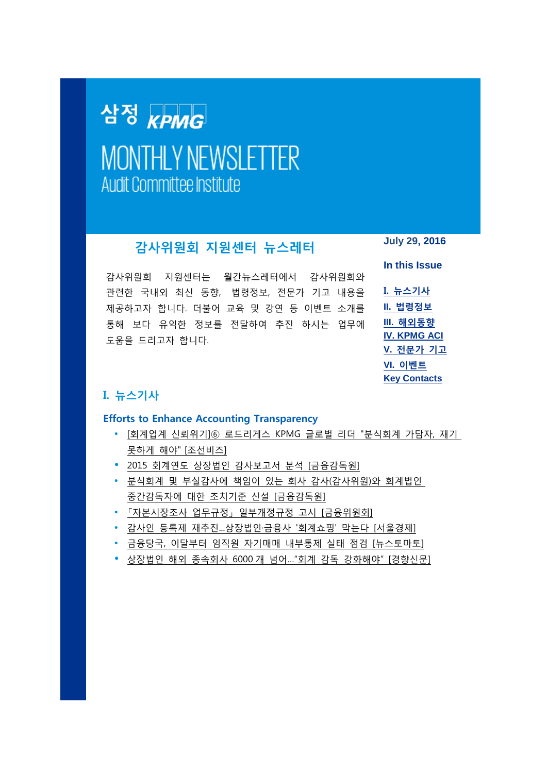# <span id="page-0-1"></span>삼정 <sub>KPMG</sub> **MONTHLY NEWSLETTER Audit Committee Institute**

# **감사위원회 지원센터 뉴스레터**

감사위원회 지원센터는 월간뉴스레터에서 감사위원회와 관련한 국내외 최신 동향, 법령정보, 전문가 기고 내용을 제공하고자 합니다. 더불어 교육 및 강연 등 이벤트 소개를 통해 보다 유익한 정보를 전달하여 추진 하시는 업무에 도움을 드리고자 합니다.

**July 29, 2016**

**In this Issue**

**I. [뉴스기사](#page-0-0) II. [법령정보](#page-1-0) III. [해외동향](#page-1-1) [IV. KPMG ACI](#page-2-0) V. [전문가](#page-2-1) 기고 VI. [이벤트](#page-3-0) [Key Contacts](#page-4-0)**

# <span id="page-0-0"></span>**I. 뉴스기사**

#### **Efforts to Enhance Accounting Transparency**

- [회계업계 신뢰위기]⑥ [로드리게스](http://biz.chosun.com/site/data/html_dir/2016/07/13/2016071301919.html) KPMG 글로벌 리더 "분식회계 가담자, 재기 못하게 해야" [[조선비즈](http://biz.chosun.com/site/data/html_dir/2016/07/13/2016071301919.html)]
- 2015 회계연도 상장법인 감사보고서 분석 [[금융감독원](http://www.kr.kpmg.com/files/filedown.asp?fm=1_20160719_Analysis_on_Audit_Report_FY2015_FSS.pdf)]
- 분식회계 및 [부실감사에](http://www.kr.kpmg.com/files/filedown.asp?fm=2_2016160718_Punishment_on_AC_and_Auditors_FSS.pdf) 책임이 있는 회사 감사(감사위원)와 회계법인 [중간감독자에](http://www.kr.kpmg.com/files/filedown.asp?fm=2_2016160718_Punishment_on_AC_and_Auditors_FSS.pdf) 대한 조치기준 신설 [금융감독원]
- [「자본시장조사](http://www.kr.kpmg.com/files/filedown.asp?fm=3_20160713_Capital_Market_Investigation_Guide_FSC.pdf) 업무규정」 일부개정규정 고시 [금융위원회]
- 감사인 등록제 재추진...[상장법인·금융사](http://www.sedaily.com/NewsView/1KYREVRQE2/) '회계쇼핑' 막는다 [서울경제]
- 금융당국, 이달부터 임직원 자기매매 내부통제 실태 점검 [[뉴스토마토](http://www.newstomato.com/ReadNews.aspx?no=669993)]
- 상장법인 해외 종속회사 6000 개 넘어..."회계 감독 강화해야" [경향신문]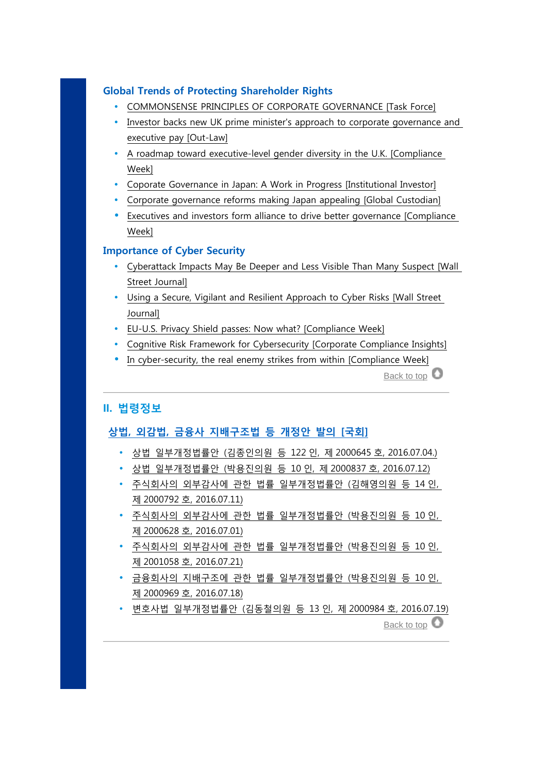## **Global Trends of Protecting Shareholder Rights**

- [COMMONSENSE PRINCIPLES OF CORPORATE GOVERNANCE \[Task Force\]](http://www.kr.kpmg.com/files/filedown.asp?fm=Commonsense_Principles_on_Corporate_Governance.pdf)
- Investor backs new UK prime minister's approach to corporate governance and [executive pay \[Out-Law\]](http://www.out-law.com/en/articles/2016/july/investor-backs-new-uk-prime-ministers-approach-to-corporate-governance-and-executive-pay/)
- [A roadmap toward executive-level gender diversity in the U.K. \[Compliance](http://www.kr.kpmg.com/files/filedown.asp?fm=4_20160727_Executive_gender_diversity_in_UK_CW.pdf)  [Week\]](http://www.kr.kpmg.com/files/filedown.asp?fm=4_20160727_Executive_gender_diversity_in_UK_CW.pdf)
- [Coporate Governance in Japan: A Work in Progress \[Institutional Investor\]](http://www.institutionalinvestor.com/blogarticle/3567253/blog/corporate-governance-in-japan-a-work-in-progress.html#/.V5iGxGxf3mR)
- [Corporate governance reforms making Japan appealing \[Global Custodian\]](http://www.globalcustodian.com/Market-Infrastructure/Corporate-governance-reforms-making-Japan-appealing/)
- [Executives and investors form alliance to drive better governance \[Compliance](http://www.kr.kpmg.com/files/filedown.asp?fm=5_20160726_Executive_and_Investors_Alliance_CW.pdf)  [Week\]](http://www.kr.kpmg.com/files/filedown.asp?fm=5_20160726_Executive_and_Investors_Alliance_CW.pdf)

#### **Importance of Cyber Security**

- [Cyberattack Impacts May Be Deeper and Less Visible Than Many Suspect \[Wall](http://www.kr.kpmg.com/files/filedown.asp?fm=20160706_Cyberattack_Deeper_Less_Visible_WSJ_rev.pdf)  [Street Journal\]](http://www.kr.kpmg.com/files/filedown.asp?fm=20160706_Cyberattack_Deeper_Less_Visible_WSJ_rev.pdf)
- [Using a Secure, Vigilant and Resilient Approach to Cyber Risks \[Wall Street](http://www.kr.kpmg.com/files/filedown.asp?fm=7_20160630_Vigilant_Resilient_to_Cyber_Risks_WSJ.pdf)  [Journal\]](http://www.kr.kpmg.com/files/filedown.asp?fm=7_20160630_Vigilant_Resilient_to_Cyber_Risks_WSJ.pdf)
- [EU-U.S. Privacy Shield passes: Now what? \[Compliance Week\]](http://www.kr.kpmg.com/files/filedown.asp?fm=8_20160726_EU_US_Privacy_Shield_passes_CW.pdf)
- [Cognitive Risk Framework for Cybersecurity \[Corporate Compliance Insights\]](http://corporatecomplianceinsights.com/cognitive-risk-framework-cybersecurity/)
- [In cyber-security, the real enemy strikes from within \[Compliance Week\]](http://www.kr.kpmg.com/files/filedown.asp?fm=9_20160720_Cyber-security_real_enemy_within_CW.pdf)

[Back to top](#page-0-1)  $\bullet$ 

### <span id="page-1-0"></span>**II. 법령정보**

### **상법, 외감법, 금융사 지배구조법 등 개정안 발의 [국회]**

- 상법 [일부개정법률안](http://www.kr.kpmg.com/files/filedown.asp?fm=a_Legislation_Proposal_No_2000645.pdf) (김종인의원 등 122 인, 제 2000645 호, 2016.07.04.)
- 상법 [일부개정법률안](http://www.kr.kpmg.com/files/filedown.asp?fm=b_Legislation_Proposal_No_2000837.pdf) (박용진의원 등 10 인, 제 2000837 호, 2016.07.12)
- 주식회사의 외부감사에 관한 법률 [일부개정법률안](http://www.kr.kpmg.com/files/filedown.asp?fm=c_Legislation_Proposal_No_2000792.pdf) (김해영의원 등 14 인, 제 2000792 호[, 2016.07.11\)](http://www.kr.kpmg.com/files/filedown.asp?fm=c_Legislation_Proposal_No_2000792.pdf)
- 주식회사의 외부감사에 관한 법률 [일부개정법률안](http://www.kr.kpmg.com/files/filedown.asp?fm=d_Legislation_Proposal_No_2000628.pdf) (박용진의원 등 10 인, 제 2000628 호[, 2016.07.01\)](http://www.kr.kpmg.com/files/filedown.asp?fm=d_Legislation_Proposal_No_2000628.pdf)
- 주식회사의 외부감사에 관한 법률 [일부개정법률안](http://www.kr.kpmg.com/files/filedown.asp?fm=e_Legislation_Proposal_No_2001058.pdf) (박용진의원 등 10 인, 제 2001058 호[, 2016.07.21\)](http://www.kr.kpmg.com/files/filedown.asp?fm=e_Legislation_Proposal_No_2001058.pdf)
- 금융회사의 지배구조에 관한 법률 [일부개정법률안](http://www.kr.kpmg.com/files/filedown.asp?fm=f_Legislation_Proposal_No_2000969.pdf) (박용진의원 등 10 인, 제 2000969 호[, 2016.07.18\)](http://www.kr.kpmg.com/files/filedown.asp?fm=f_Legislation_Proposal_No_2000969.pdf)
- <span id="page-1-1"></span> 변호사법 [일부개정법률안](http://www.kr.kpmg.com/files/filedown.asp?fm=g_Legislation_Proposal_No_2000984.pdf) (김동철의원 등 13 인, 제 2000984 호, 2016.07.19) [Back to top](#page-0-1)  $\bullet$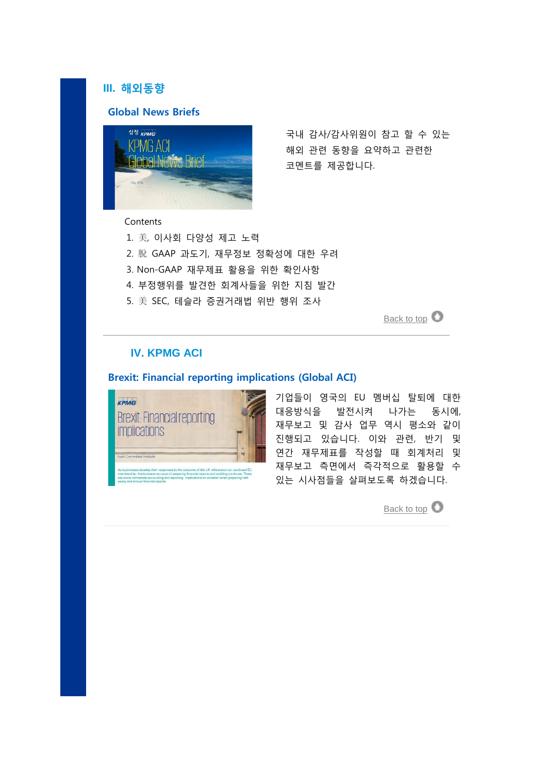## **III. 해외동향**

#### **Global News Briefs**



국내 감사/감사위원이 참고 할 수 있는 해외 관련 동향을 요약하고 관련한 코멘트를 제공합니다.

**Contents** 

- 1. 美, 이사회 다양성 제고 노력
- 2. 脫 GAAP 과도기, 재무정보 정확성에 대한 우려
- 3. Non-GAAP 재무제표 활용을 위한 확인사항
- 4. 부정행위를 발견한 회계사들을 위한 지침 발간
- 5. 美 SEC, 테슬라 증권거래법 위반 행위 조사

[Back to top](#page-0-1)  $\bullet$ 

## <span id="page-2-0"></span>**IV. KPMG ACI**

## **Brexit: Financial reporting implications (Global ACI)**



<span id="page-2-1"></span>

기업들이 영국의 EU 멤버십 탈퇴에 대한 대응방식을 발전시켜 나가는 동시에, 재무보고 및 감사 업무 역시 평소와 같이 진행되고 있습니다. 이와 관련, 반기 및 연간 재무제표를 작성할 때 회계처리 및 재무보고 측면에서 즉각적으로 활용할 수 있는 시사점들을 살펴보도록 하겠습니다.

[Back to top](#page-0-1)  $\bullet$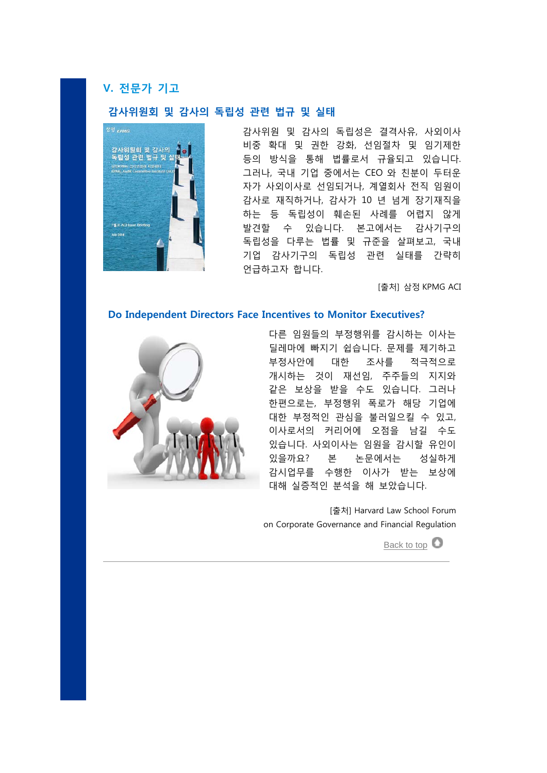## **V. 전문가 기고**

#### **감사위원회 및 감사의 독립성 관련 법규 및 실태**



감사위원 및 감사의 독립성은 결격사유, 사외이사 비중 확대 및 권한 강화, 선임절차 및 임기제한 등의 방식을 통해 법률로서 규율되고 있습니다. 그러나, 국내 기업 중에서는 CEO 와 친분이 두터운 자가 사외이사로 선임되거나, 계열회사 전직 임원이 감사로 재직하거나, 감사가 10 년 넘게 장기재직을 하는 등 독립성이 훼손된 사례를 어렵지 않게 발견할 수 있습니다. 본고에서는 감사기구의 독립성을 다루는 법률 및 규준을 살펴보고, 국내 기업 감사기구의 독립성 관련 실태를 간략히 언급하고자 합니다.

[출처] 삼정 KPMG ACI

#### **Do Independent Directors Face Incentives to Monitor Executives?**



다른 임원들의 부정행위를 감시하는 이사는 딜레마에 빠지기 쉽습니다. 문제를 제기하고 부정사안에 대한 조사를 적극적으로 개시하는 것이 재선임, 주주들의 지지와 같은 보상을 받을 수도 있습니다. 그러나 한편으로는, 부정행위 폭로가 해당 기업에 대한 부정적인 관심을 불러일으킬 수 있고, 이사로서의 커리어에 오점을 남길 수도 있습니다. 사외이사는 임원을 감시할 유인이 있을까요? 본 논문에서는 성실하게 감시업무를 수행한 이사가 받는 보상에 대해 실증적인 분석을 해 보았습니다.

<span id="page-3-0"></span>[출처] Harvard Law School Forum on Corporate Governance and Financial Regulation

[Back to top](#page-0-1)  $\bullet$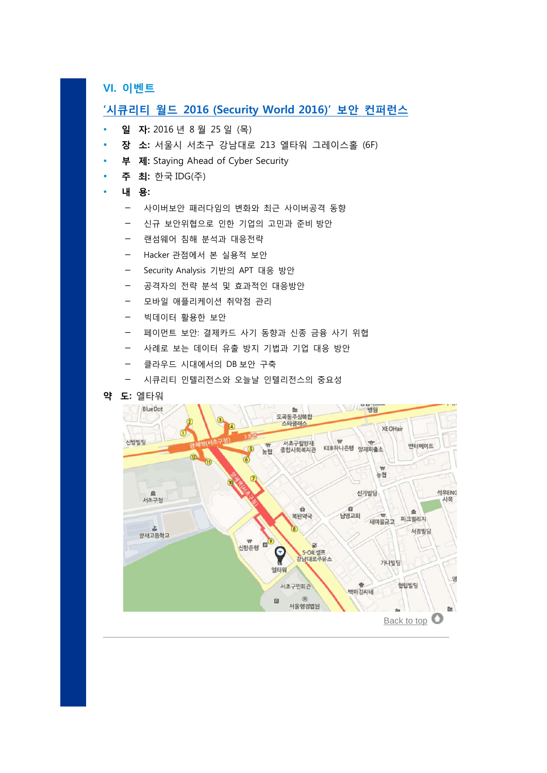**VI. 이벤트**

## <span id="page-4-0"></span>**'시큐리티 월드 [2016 \(Security World 2016\)'](http://conf.idg.co.kr/conference/information?conference_seq=127) 보안 컨퍼런스**

- **일 자:** 2016 년 8 월 25 일 (목)
- **장 소:** 서울시 서초구 강남대로 213 엘타워 그레이스홀 (6F)
- **부 제:** Staying Ahead of Cyber Security
- **주 최:** 한국 IDG(주)

#### **내 용:**

- 사이버보안 패러다임의 변화와 최근 사이버공격 동향
- 신규 보안위협으로 인한 기업의 고민과 준비 방안
- 랜섬웨어 침해 분석과 대응전략
- Hacker 관점에서 본 실용적 보안
- Security Analysis 기반의 APT 대응 방안
- 공격자의 전략 분석 및 효과적인 대응방안
- 모바일 애플리케이션 취약점 관리
- 빅데이터 활용한 보안
- 페이먼트 보안: 결제카드 사기 동향과 신종 금융 사기 위협
- 사례로 보는 데이터 유출 방지 기법과 기업 대응 방안
- 클라우드 시대에서의 DB 보안 구축
- 시큐리티 인텔리전스와 오늘날 인텔리전스의 중요성